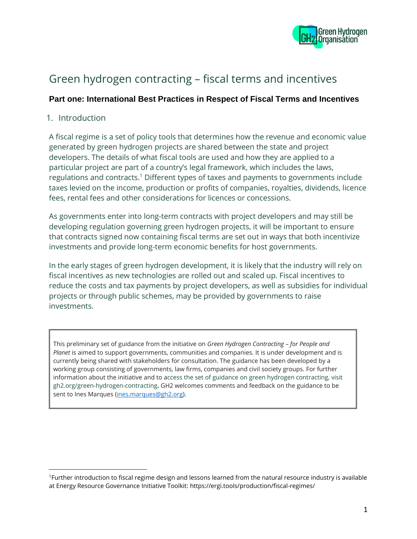

# Green hydrogen contracting – fiscal terms and incentives

### **Part one: International Best Practices in Respect of Fiscal Terms and Incentives**

#### 1. Introduction

A fiscal regime is a set of policy tools that determines how the revenue and economic value generated by green hydrogen projects are shared between the state and project developers. The details of what fiscal tools are used and how they are applied to a particular project are part of a country's legal framework, which includes the laws, regulations and contracts.<sup>1</sup> Different types of taxes and payments to governments include taxes levied on the income, production or profits of companies, royalties, dividends, licence fees, rental fees and other considerations for licences or concessions.

As governments enter into long-term contracts with project developers and may still be developing regulation governing green hydrogen projects, it will be important to ensure that contracts signed now containing fiscal terms are set out in ways that both incentivize investments and provide long-term economic benefits for host governments.

In the early stages of green hydrogen development, it is likely that the industry will rely on fiscal incentives as new technologies are rolled out and scaled up. Fiscal incentives to reduce the costs and tax payments by project developers, as well as subsidies for individual projects or through public schemes, may be provided by governments to raise investments.

This preliminary set of guidance from the initiative on *Green Hydrogen Contracting – for People and Planet* is aimed to support governments, communities and companies. It is under development and is currently being shared with stakeholders for consultation. The guidance has been developed by a working group consisting of governments, law firms, companies and civil society groups. For further information about the initiative and to access the set of guidance on green hydrogen contracting, visit gh2.org/green-hydrogen-contracting**.** GH2 welcomes comments and feedback on the guidance to be sent to Ines Marques [\(ines.marques@gh2.org\)](mailto:ines.marques@gh2.org).

<sup>1</sup>Further introduction to fiscal regime design and lessons learned from the natural resource industry is available at Energy Resource Governance Initiative Toolkit: https://ergi.tools/production/fiscal-regimes/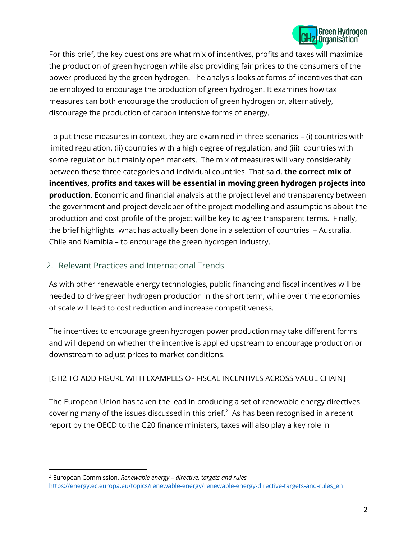

For this brief, the key questions are what mix of incentives, profits and taxes will maximize the production of green hydrogen while also providing fair prices to the consumers of the power produced by the green hydrogen. The analysis looks at forms of incentives that can be employed to encourage the production of green hydrogen. It examines how tax measures can both encourage the production of green hydrogen or, alternatively, discourage the production of carbon intensive forms of energy.

To put these measures in context, they are examined in three scenarios – (i) countries with limited regulation, (ii) countries with a high degree of regulation, and (iii) countries with some regulation but mainly open markets. The mix of measures will vary considerably between these three categories and individual countries. That said, **the correct mix of incentives, profits and taxes will be essential in moving green hydrogen projects into production**. Economic and financial analysis at the project level and transparency between the government and project developer of the project modelling and assumptions about the production and cost profile of the project will be key to agree transparent terms. Finally, the brief highlights what has actually been done in a selection of countries – Australia, Chile and Namibia – to encourage the green hydrogen industry.

# 2. Relevant Practices and International Trends

As with other renewable energy technologies, public financing and fiscal incentives will be needed to drive green hydrogen production in the short term, while over time economies of scale will lead to cost reduction and increase competitiveness.

The incentives to encourage green hydrogen power production may take different forms and will depend on whether the incentive is applied upstream to encourage production or downstream to adjust prices to market conditions.

# [GH2 TO ADD FIGURE WITH EXAMPLES OF FISCAL INCENTIVES ACROSS VALUE CHAIN]

The European Union has taken the lead in producing a set of renewable energy directives covering many of the issues discussed in this brief. $<sup>2</sup>$  As has been recognised in a recent</sup> report by the OECD to the G20 finance ministers, taxes will also play a key role in

<sup>2</sup> European Commission, *Renewable energy – directive, targets and rules* [https://energy.ec.europa.eu/topics/renewable-energy/renewable-energy-directive-targets-and-rules\\_en](https://energy.ec.europa.eu/topics/renewable-energy/renewable-energy-directive-targets-and-rules_en)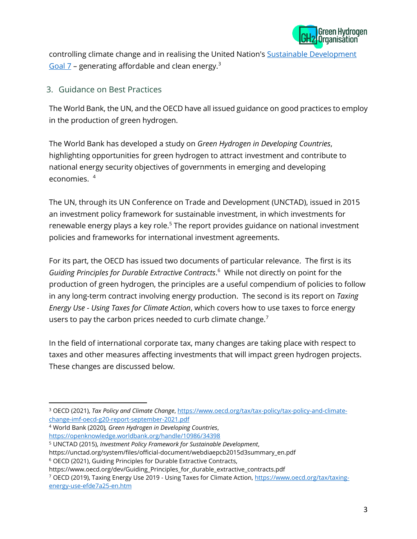

controlling climate change and in realising the United Nation's **Sustainable Development** Goal  $7$  – generating affordable and clean energy.<sup>3</sup>

#### 3. Guidance on Best Practices

The World Bank, the UN, and the OECD have all issued guidance on good practices to employ in the production of green hydrogen.

The World Bank has developed a study on *Green Hydrogen in Developing Countries*, highlighting opportunities for green hydrogen to attract investment and contribute to national energy security objectives of governments in emerging and developing economies. 4

The UN, through its UN Conference on Trade and Development (UNCTAD), issued in 2015 an investment policy framework for sustainable investment, in which investments for renewable energy plays a key role.<sup>5</sup> The report provides guidance on national investment policies and frameworks for international investment agreements.

For its part, the OECD has issued two documents of particular relevance. The first is its *Guiding Principles for Durable Extractive Contracts*. 6 While not directly on point for the production of green hydrogen, the principles are a useful compendium of policies to follow in any long-term contract involving energy production. The second is its report on *Taxing Energy Use - Using Taxes for Climate Action*, which covers how to use taxes to force energy users to pay the carbon prices needed to curb climate change.<sup>7</sup>

In the field of international corporate tax, many changes are taking place with respect to taxes and other measures affecting investments that will impact green hydrogen projects. These changes are discussed below.

<sup>4</sup> World Bank (2020)*, Green Hydrogen in Developing Countries*,

https://unctad.org/system/files/official-document/webdiaepcb2015d3summary\_en.pdf

<sup>3</sup> OECD (2021), *Tax Policy and Climate Change*, [https://www.oecd.org/tax/tax-policy/tax-policy-and-climate](https://www.oecd.org/tax/tax-policy/tax-policy-and-climate-change-imf-oecd-g20-report-september-2021.pdf)[change-imf-oecd-g20-report-september-2021.pdf](https://www.oecd.org/tax/tax-policy/tax-policy-and-climate-change-imf-oecd-g20-report-september-2021.pdf)

<https://openknowledge.worldbank.org/handle/10986/34398>

<sup>5</sup> UNCTAD (2015), *Investment Policy Framework for Sustainable Development*,

<sup>6</sup> OECD (2021), Guiding Principles for Durable Extractive Contracts,

https://www.oecd.org/dev/Guiding\_Principles\_for\_durable\_extractive\_contracts.pdf

<sup>7</sup> OECD (2019), Taxing Energy Use 2019 - Using Taxes for Climate Action, [https://www.oecd.org/tax/taxing](https://www.oecd.org/tax/taxing-energy-use-efde7a25-en.htm)[energy-use-efde7a25-en.htm](https://www.oecd.org/tax/taxing-energy-use-efde7a25-en.htm)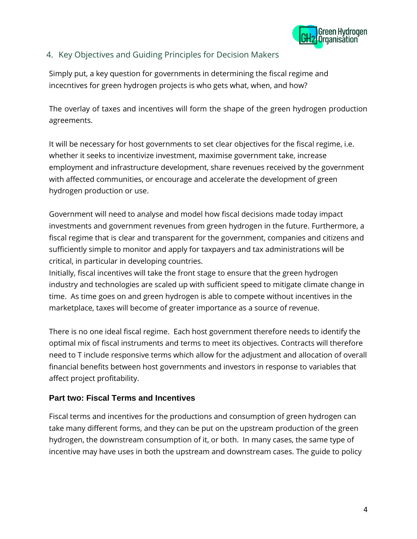

# 4. Key Objectives and Guiding Principles for Decision Makers

Simply put, a key question for governments in determining the fiscal regime and incecntives for green hydrogen projects is who gets what, when, and how?

The overlay of taxes and incentives will form the shape of the green hydrogen production agreements.

It will be necessary for host governments to set clear objectives for the fiscal regime, i.e. whether it seeks to incentivize investment, maximise government take, increase employment and infrastructure development, share revenues received by the government with affected communities, or encourage and accelerate the development of green hydrogen production or use.

Government will need to analyse and model how fiscal decisions made today impact investments and government revenues from green hydrogen in the future. Furthermore, a fiscal regime that is clear and transparent for the government, companies and citizens and sufficiently simple to monitor and apply for taxpayers and tax administrations will be critical, in particular in developing countries.

Initially, fiscal incentives will take the front stage to ensure that the green hydrogen industry and technologies are scaled up with sufficient speed to mitigate climate change in time. As time goes on and green hydrogen is able to compete without incentives in the marketplace, taxes will become of greater importance as a source of revenue.

There is no one ideal fiscal regime. Each host government therefore needs to identify the optimal mix of fiscal instruments and terms to meet its objectives. Contracts will therefore need to T include responsive terms which allow for the adjustment and allocation of overall financial benefits between host governments and investors in response to variables that affect project profitability.

#### **Part two: Fiscal Terms and Incentives**

Fiscal terms and incentives for the productions and consumption of green hydrogen can take many different forms, and they can be put on the upstream production of the green hydrogen, the downstream consumption of it, or both. In many cases, the same type of incentive may have uses in both the upstream and downstream cases. The guide to policy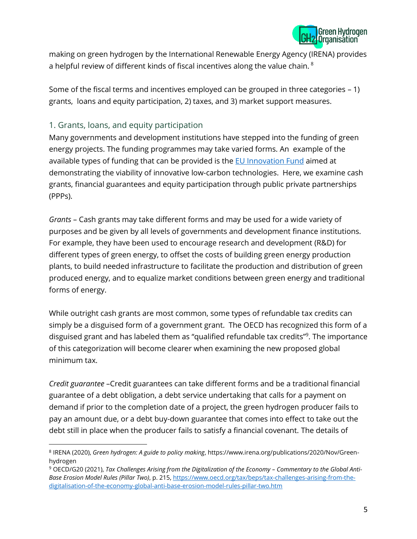

making on green hydrogen by the International Renewable Energy Agency (IRENA) provides a helpful review of different kinds of fiscal incentives along the value chain.<sup>8</sup>

Some of the fiscal terms and incentives employed can be grouped in three categories – 1) grants, loans and equity participation, 2) taxes, and 3) market support measures.

## 1. Grants, loans, and equity participation

Many governments and development institutions have stepped into the funding of green energy projects. The funding programmes may take varied forms. An example of the available types of funding that can be provided is the [EU Innovation Fund](https://ec.europa.eu/clima/eu-action/funding-climate-action/innovation-fund_en) aimed at demonstrating the viability of innovative low-carbon technologies. Here, we examine cash grants, financial guarantees and equity participation through public private partnerships (PPPs).

*Grants* – Cash grants may take different forms and may be used for a wide variety of purposes and be given by all levels of governments and development finance institutions. For example, they have been used to encourage research and development (R&D) for different types of green energy, to offset the costs of building green energy production plants, to build needed infrastructure to facilitate the production and distribution of green produced energy, and to equalize market conditions between green energy and traditional forms of energy.

While outright cash grants are most common, some types of refundable tax credits can simply be a disguised form of a government grant. The OECD has recognized this form of a disguised grant and has labeled them as "qualified refundable tax credits"<sup>9</sup>. The importance of this categorization will become clearer when examining the new proposed global minimum tax.

*Credit guarantee* –Credit guarantees can take different forms and be a traditional financial guarantee of a debt obligation, a debt service undertaking that calls for a payment on demand if prior to the completion date of a project, the green hydrogen producer fails to pay an amount due, or a debt buy-down guarantee that comes into effect to take out the debt still in place when the producer fails to satisfy a financial covenant. The details of

<sup>8</sup> IRENA (2020), *Green hydrogen: A guide to policy making*, https://www.irena.org/publications/2020/Nov/Greenhydrogen

<sup>&</sup>lt;sup>9</sup> OECD/G20 (2021), Tax Challenges Arising from the Digitalization of the Economy - Commentary to the Global Anti-*Base Erosion Model Rules (Pillar Two)*, p. 215, [https://www.oecd.org/tax/beps/tax-challenges-arising-from-the](https://www.oecd.org/tax/beps/tax-challenges-arising-from-the-digitalisation-of-the-economy-global-anti-base-erosion-model-rules-pillar-two.htm)[digitalisation-of-the-economy-global-anti-base-erosion-model-rules-pillar-two.htm](https://www.oecd.org/tax/beps/tax-challenges-arising-from-the-digitalisation-of-the-economy-global-anti-base-erosion-model-rules-pillar-two.htm)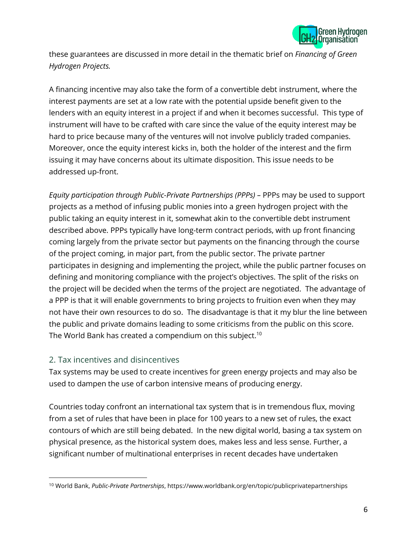

these guarantees are discussed in more detail in the thematic brief on *Financing of Green Hydrogen Projects.*

A financing incentive may also take the form of a convertible debt instrument, where the interest payments are set at a low rate with the potential upside benefit given to the lenders with an equity interest in a project if and when it becomes successful. This type of instrument will have to be crafted with care since the value of the equity interest may be hard to price because many of the ventures will not involve publicly traded companies. Moreover, once the equity interest kicks in, both the holder of the interest and the firm issuing it may have concerns about its ultimate disposition. This issue needs to be addressed up-front.

*Equity participation through Public-Private Partnerships (PPPs) –* PPPs may be used to support projects as a method of infusing public monies into a green hydrogen project with the public taking an equity interest in it, somewhat akin to the convertible debt instrument described above. PPPs typically have long-term contract periods, with up front financing coming largely from the private sector but payments on the financing through the course of the project coming, in major part, from the public sector. The private partner participates in designing and implementing the project, while the public partner focuses on defining and monitoring compliance with the project's objectives. The split of the risks on the project will be decided when the terms of the project are negotiated. The advantage of a PPP is that it will enable governments to bring projects to fruition even when they may not have their own resources to do so. The disadvantage is that it my blur the line between the public and private domains leading to some criticisms from the public on this score. The World Bank has created a compendium on this subject.<sup>10</sup>

#### 2. Tax incentives and disincentives

Tax systems may be used to create incentives for green energy projects and may also be used to dampen the use of carbon intensive means of producing energy.

Countries today confront an international tax system that is in tremendous flux, moving from a set of rules that have been in place for 100 years to a new set of rules, the exact contours of which are still being debated. In the new digital world, basing a tax system on physical presence, as the historical system does, makes less and less sense. Further, a significant number of multinational enterprises in recent decades have undertaken

<sup>10</sup> World Bank, *Public-Private Partnerships*, https://www.worldbank.org/en/topic/publicprivatepartnerships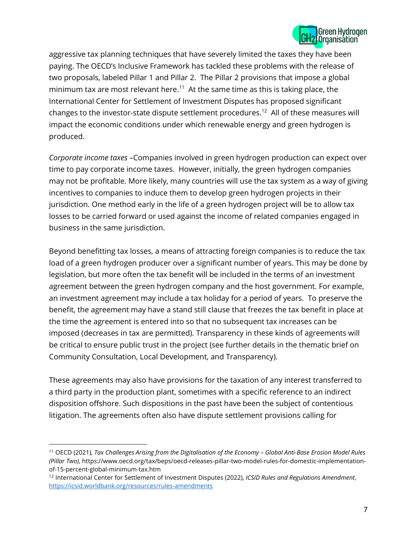

aggressive tax planning techniques that have severely limited the taxes they have been paying. The OECD's Inclusive Framework has tackled these problems with the release of two proposals, labeled Pillar 1 and Pillar 2. The Pillar 2 provisions that impose a global minimum tax are most relevant here.<sup>11</sup> At the same time as this is taking place, the International Center for Settlement of Investment Disputes has proposed significant changes to the investor-state dispute settlement procedures.<sup>12</sup> All of these measures will impact the economic conditions under which renewable energy and green hydrogen is produced.

*Corporate income taxes* –Companies involved in green hydrogen production can expect over time to pay corporate income taxes. However, initially, the green hydrogen companies may not be profitable. More likely, many countries will use the tax system as a way of giving incentives to companies to induce them to develop green hydrogen projects in their jurisdiction. One method early in the life of a green hydrogen project will be to allow tax losses to be carried forward or used against the income of related companies engaged in business in the same jurisdiction.

Beyond benefitting tax losses, a means of attracting foreign companies is to reduce the tax load of a green hydrogen producer over a significant number of years. This may be done by legislation, but more often the tax benefit will be included in the terms of an investment agreement between the green hydrogen company and the host government. For example, an investment agreement may include a tax holiday for a period of years. To preserve the benefit, the agreement may have a stand still clause that freezes the tax benefit in place at the time the agreement is entered into so that no subsequent tax increases can be imposed (decreases in tax are permitted). Transparency in these kinds of agreements will be critical to ensure public trust in the project (see further details in the thematic brief on Community Consultation, Local Development, and Transparency).

These agreements may also have provisions for the taxation of any interest transferred to a third party in the production plant, sometimes with a specific reference to an indirect disposition offshore. Such dispositions in the past have been the subject of contentious litigation. The agreements often also have dispute settlement provisions calling for

<sup>11</sup> OECD (2021), *Tax Challenges Arising from the Digitalisation of the Economy – Global Anti-Base Erosion Model Rules (Pillar Two)*, https://www.oecd.org/tax/beps/oecd-releases-pillar-two-model-rules-for-domestic-implementationof-15-percent-global-minimum-tax.htm

<sup>12</sup> International Center for Settlement of Investment Disputes (2022), *ICSID Rules and Regulations Amendment*, <https://icsid.worldbank.org/resources/rules-amendments>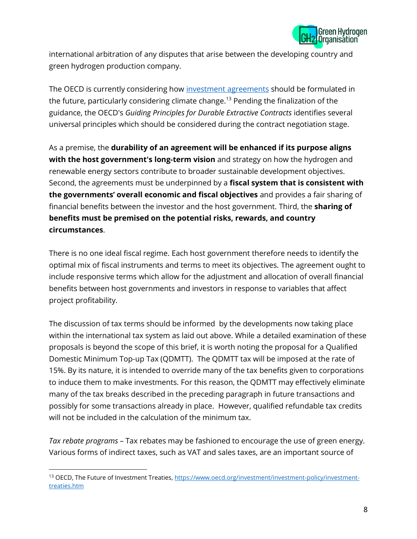

international arbitration of any disputes that arise between the developing country and green hydrogen production company.

The OECD is currently considering how investment [agreements](https://www.oecd.org/investment/investment-policy/investment-treaties.htm) should be formulated in the future, particularly considering climate change.<sup>13</sup> Pending the finalization of the guidance, the OECD's *[Guiding Principles for Durable Extractive Contracts](https://www.oecd.org/dev/Guiding_Principles_for_durable_extractive_contracts.pdf)* identifies several universal principles which should be considered during the contract negotiation stage.

As a premise, the **durability of an agreement will be enhanced if its purpose aligns with the host government's long-term vision** and strategy on how the hydrogen and renewable energy sectors contribute to broader sustainable development objectives. Second, the agreements must be underpinned by a **fiscal system that is consistent with the governments' overall economic and fiscal objectives** and provides a fair sharing of financial benefits between the investor and the host government. Third, the **sharing of benefits must be premised on the potential risks, rewards, and country circumstances**.

There is no one ideal fiscal regime. Each host government therefore needs to identify the optimal mix of fiscal instruments and terms to meet its objectives. The agreement ought to include responsive terms which allow for the adjustment and allocation of overall financial benefits between host governments and investors in response to variables that affect project profitability.

The discussion of tax terms should be informed by the developments now taking place within the international tax system as laid out above. While a detailed examination of these proposals is beyond the scope of this brief, it is worth noting the proposal for a Qualified Domestic Minimum Top-up Tax (QDMTT). The QDMTT tax will be imposed at the rate of 15%. By its nature, it is intended to override many of the tax benefits given to corporations to induce them to make investments. For this reason, the QDMTT may effectively eliminate many of the tax breaks described in the preceding paragraph in future transactions and possibly for some transactions already in place. However, qualified refundable tax credits will not be included in the calculation of the minimum tax.

*Tax rebate programs –* Tax rebates may be fashioned to encourage the use of green energy. Various forms of indirect taxes, such as VAT and sales taxes, are an important source of

<sup>13</sup> OECD, The Future of Investment Treaties[, https://www.oecd.org/investment/investment-policy/investment](https://www.oecd.org/investment/investment-policy/investment-treaties.htm)[treaties.htm](https://www.oecd.org/investment/investment-policy/investment-treaties.htm)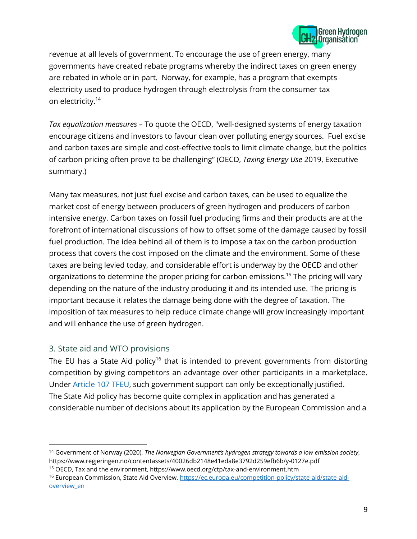

revenue at all levels of government. To encourage the use of green energy, many governments have created rebate programs whereby the indirect taxes on green energy are rebated in whole or in part. Norway, for example, has a program that exempts electricity used to produce hydrogen through electrolysis from the consumer tax on electricity.<sup>14</sup>

*Tax equalization measures –* To quote the OECD, "well-designed systems of energy taxation encourage citizens and investors to favour clean over polluting energy sources. Fuel excise and carbon taxes are simple and cost-effective tools to limit climate change, but the politics of carbon pricing often prove to be challenging" (OECD, *Taxing Energy Use* 2019, Executive summary.)

Many tax measures, not just fuel excise and carbon taxes, can be used to equalize the market cost of energy between producers of green hydrogen and producers of carbon intensive energy. Carbon taxes on fossil fuel producing firms and their products are at the forefront of international discussions of how to offset some of the damage caused by fossil fuel production. The idea behind all of them is to impose a tax on the carbon production process that covers the cost imposed on the climate and the environment. Some of these taxes are being levied today, and considerable effort is underway by the OECD and other organizations to determine the proper pricing for carbon emissions.<sup>15</sup> The pricing will vary depending on the nature of the industry producing it and its intended use. The pricing is important because it relates the damage being done with the degree of taxation. The imposition of tax measures to help reduce climate change will grow increasingly important and will enhance the use of green hydrogen.

#### 3. State aid and WTO provisions

The EU has a State Aid policy<sup>16</sup> that is intended to prevent governments from distorting competition by giving competitors an advantage over other participants in a marketplace. Under [Article 107 TFEU,](https://eur-lex.europa.eu/legal-content/EN/ALL/?uri=CELEX%3A12008E107) such government support can only be exceptionally justified. The State Aid policy has become quite complex in application and has generated a considerable number of decisions about its application by the European Commission and a

<sup>14</sup> Government of Norway (2020), *The Norwegian Government's hydrogen strategy towards a low emission society*, https://www.regjeringen.no/contentassets/40026db2148e41eda8e3792d259efb6b/y-0127e.pdf

<sup>15</sup> OECD, Tax and the environment, https://www.oecd.org/ctp/tax-and-environment.htm

<sup>16</sup> European Commission, State Aid Overview, [https://ec.europa.eu/competition-policy/state-aid/state-aid](https://ec.europa.eu/competition-policy/state-aid/state-aid-overview_en)overview en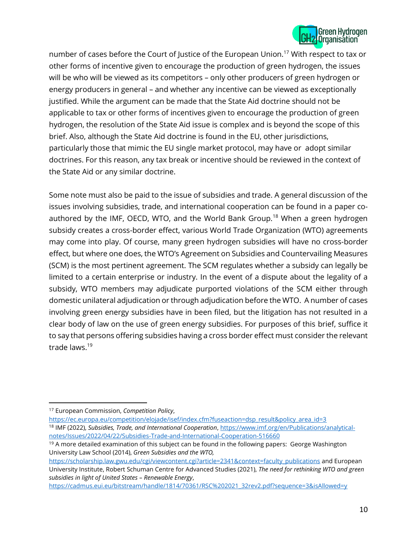

number of cases before the Court of Justice of the European Union.<sup>17</sup> With respect to tax or other forms of incentive given to encourage the production of green hydrogen, the issues will be who will be viewed as its competitors – only other producers of green hydrogen or energy producers in general – and whether any incentive can be viewed as exceptionally justified. While the argument can be made that the State Aid doctrine should not be applicable to tax or other forms of incentives given to encourage the production of green hydrogen, the resolution of the State Aid issue is complex and is beyond the scope of this brief. Also, although the State Aid doctrine is found in the EU, other jurisdictions, particularly those that mimic the EU single market protocol, may have or adopt similar doctrines. For this reason, any tax break or incentive should be reviewed in the context of the State Aid or any similar doctrine.

Some note must also be paid to the issue of subsidies and trade. A general discussion of the issues involving subsidies, trade, and international cooperation can be found in a paper coauthored by the IMF, OECD, WTO, and the World Bank Group.<sup>18</sup> When a green hydrogen subsidy creates a cross-border effect, various World Trade Organization (WTO) agreements may come into play. Of course, many green hydrogen subsidies will have no cross-border effect, but where one does, the WTO's Agreement on Subsidies and Countervailing Measures (SCM) is the most pertinent agreement. The SCM regulates whether a subsidy can legally be limited to a certain enterprise or industry. In the event of a dispute about the legality of a subsidy, WTO members may adjudicate purported violations of the SCM either through domestic unilateral adjudication or through adjudication before the WTO. A number of cases involving green energy subsidies have in been filed, but the litigation has not resulted in a clear body of law on the use of green energy subsidies. For purposes of this brief, suffice it to say that persons offering subsidies having a cross border effect must consider the relevant trade laws.<sup>19</sup>

<sup>17</sup> European Commission, *Competition Policy*,

[https://ec.europa.eu/competition/elojade/isef/index.cfm?fuseaction=dsp\\_result&policy\\_area\\_id=3](https://ec.europa.eu/competition/elojade/isef/index.cfm?fuseaction=dsp_result&policy_area_id=3) <sup>18</sup> IMF (2022), *Subsidies, Trade, and International Cooperation*[, https://www.imf.org/en/Publications/analytical](https://www.imf.org/en/Publications/analytical-notes/Issues/2022/04/22/Subsidies-Trade-and-International-Cooperation-516660)[notes/Issues/2022/04/22/Subsidies-Trade-and-International-Cooperation-516660](https://www.imf.org/en/Publications/analytical-notes/Issues/2022/04/22/Subsidies-Trade-and-International-Cooperation-516660)

 $19$  A more detailed examination of this subject can be found in the following papers: George Washington University Law School (2014), *Green Subsidies and the WTO,* 

[https://scholarship.law.gwu.edu/cgi/viewcontent.cgi?article=2341&context=faculty\\_publications](https://scholarship.law.gwu.edu/cgi/viewcontent.cgi?article=2341&context=faculty_publications) and European University Institute, Robert Schuman Centre for Advanced Studies (2021), *The need for rethinking WTO and green subsidies in light of United States – Renewable Energy*,

[https://cadmus.eui.eu/bitstream/handle/1814/70361/RSC%202021\\_32rev2.pdf?sequence=3&isAllowed=y](https://cadmus.eui.eu/bitstream/handle/1814/70361/RSC%202021_32rev2.pdf?sequence=3&isAllowed=y)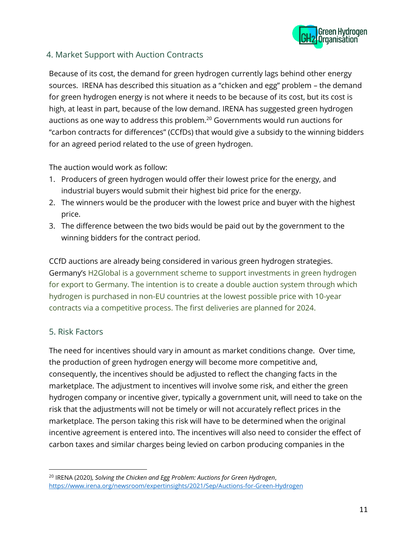

## 4. Market Support with Auction Contracts

Because of its cost, the demand for green hydrogen currently lags behind other energy sources. IRENA has described this situation as a "chicken and egg" problem – the demand for green hydrogen energy is not where it needs to be because of its cost, but its cost is high, at least in part, because of the low demand. IRENA has suggested green hydrogen auctions as one way to address this problem. $^{20}$  Governments would run auctions for "carbon contracts for differences" (CCfDs) that would give a subsidy to the winning bidders for an agreed period related to the use of green hydrogen.

The auction would work as follow:

- 1. Producers of green hydrogen would offer their lowest price for the energy, and industrial buyers would submit their highest bid price for the energy.
- 2. The winners would be the producer with the lowest price and buyer with the highest price.
- 3. The difference between the two bids would be paid out by the government to the winning bidders for the contract period.

CCfD auctions are already being considered in various green hydrogen strategies. Germany's H2Global is a government scheme to support investments in green hydrogen for export to Germany. The intention is to create a double auction system through which hydrogen is purchased in non-EU countries at the lowest possible price with 10-year contracts via a competitive process. The first deliveries are planned for 2024.

#### 5. Risk Factors

The need for incentives should vary in amount as market conditions change. Over time, the production of green hydrogen energy will become more competitive and, consequently, the incentives should be adjusted to reflect the changing facts in the marketplace. The adjustment to incentives will involve some risk, and either the green hydrogen company or incentive giver, typically a government unit, will need to take on the risk that the adjustments will not be timely or will not accurately reflect prices in the marketplace. The person taking this risk will have to be determined when the original incentive agreement is entered into. The incentives will also need to consider the effect of carbon taxes and similar charges being levied on carbon producing companies in the

<sup>20</sup> IRENA (2020), *Solving the Chicken and Egg Problem: Auctions for Green Hydrogen*, <https://www.irena.org/newsroom/expertinsights/2021/Sep/Auctions-for-Green-Hydrogen>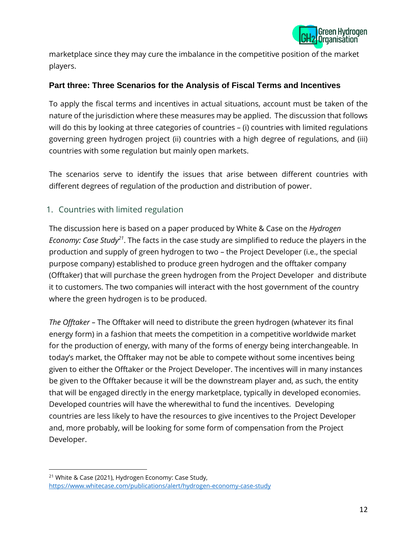

marketplace since they may cure the imbalance in the competitive position of the market players.

#### **Part three: Three Scenarios for the Analysis of Fiscal Terms and Incentives**

To apply the fiscal terms and incentives in actual situations, account must be taken of the nature of the jurisdiction where these measures may be applied. The discussion that follows will do this by looking at three categories of countries – (i) countries with limited regulations governing green hydrogen project (ii) countries with a high degree of regulations, and (iii) countries with some regulation but mainly open markets.

The scenarios serve to identify the issues that arise between different countries with different degrees of regulation of the production and distribution of power.

#### 1. Countries with limited regulation

The discussion here is based on a paper produced by White & Case on the *Hydrogen Economy: Case Study<sup>21</sup>* . The facts in the case study are simplified to reduce the players in the production and supply of green hydrogen to two – the Project Developer (i.e., the special purpose company) established to produce green hydrogen and the offtaker company (Offtaker) that will purchase the green hydrogen from the Project Developer and distribute it to customers. The two companies will interact with the host government of the country where the green hydrogen is to be produced.

*The Offtaker –* The Offtaker will need to distribute the green hydrogen (whatever its final energy form) in a fashion that meets the competition in a competitive worldwide market for the production of energy, with many of the forms of energy being interchangeable. In today's market, the Offtaker may not be able to compete without some incentives being given to either the Offtaker or the Project Developer. The incentives will in many instances be given to the Offtaker because it will be the downstream player and, as such, the entity that will be engaged directly in the energy marketplace, typically in developed economies. Developed countries will have the wherewithal to fund the incentives. Developing countries are less likely to have the resources to give incentives to the Project Developer and, more probably, will be looking for some form of compensation from the Project Developer.

<sup>21</sup> White & Case (2021), Hydrogen Economy: Case Study, <https://www.whitecase.com/publications/alert/hydrogen-economy-case-study>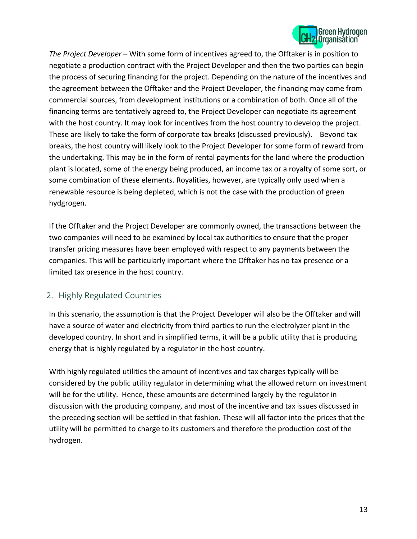

*The Project Developer –* With some form of incentives agreed to, the Offtaker is in position to negotiate a production contract with the Project Developer and then the two parties can begin the process of securing financing for the project. Depending on the nature of the incentives and the agreement between the Offtaker and the Project Developer, the financing may come from commercial sources, from development institutions or a combination of both. Once all of the financing terms are tentatively agreed to, the Project Developer can negotiate its agreement with the host country. It may look for incentives from the host country to develop the project. These are likely to take the form of corporate tax breaks (discussed previously). Beyond tax breaks, the host country will likely look to the Project Developer for some form of reward from the undertaking. This may be in the form of rental payments for the land where the production plant is located, some of the energy being produced, an income tax or a royalty of some sort, or some combination of these elements. Royalities, however, are typically only used when a renewable resource is being depleted, which is not the case with the production of green hydgrogen.

If the Offtaker and the Project Developer are commonly owned, the transactions between the two companies will need to be examined by local tax authorities to ensure that the proper transfer pricing measures have been employed with respect to any payments between the companies. This will be particularly important where the Offtaker has no tax presence or a limited tax presence in the host country.

# 2. Highly Regulated Countries

In this scenario, the assumption is that the Project Developer will also be the Offtaker and will have a source of water and electricity from third parties to run the electrolyzer plant in the developed country. In short and in simplified terms, it will be a public utility that is producing energy that is highly regulated by a regulator in the host country.

With highly regulated utilities the amount of incentives and tax charges typically will be considered by the public utility regulator in determining what the allowed return on investment will be for the utility. Hence, these amounts are determined largely by the regulator in discussion with the producing company, and most of the incentive and tax issues discussed in the preceding section will be settled in that fashion. These will all factor into the prices that the utility will be permitted to charge to its customers and therefore the production cost of the hydrogen.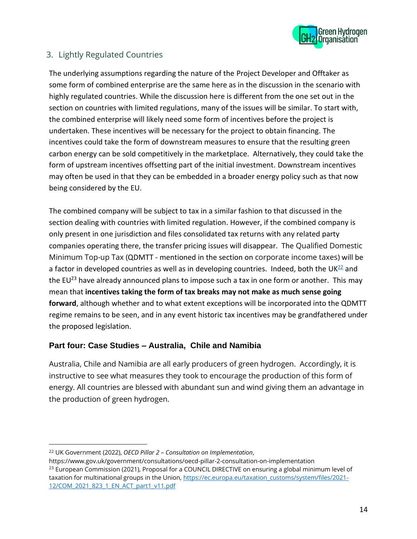

# 3. Lightly Regulated Countries

The underlying assumptions regarding the nature of the Project Developer and Offtaker as some form of combined enterprise are the same here as in the discussion in the scenario with highly regulated countries. While the discussion here is different from the one set out in the section on countries with limited regulations, many of the issues will be similar. To start with, the combined enterprise will likely need some form of incentives before the project is undertaken. These incentives will be necessary for the project to obtain financing. The incentives could take the form of downstream measures to ensure that the resulting green carbon energy can be sold competitively in the marketplace. Alternatively, they could take the form of upstream incentives offsetting part of the initial investment. Downstream incentives may often be used in that they can be embedded in a broader energy policy such as that now being considered by the EU.

The combined company will be subject to tax in a similar fashion to that discussed in the section dealing with countries with limited regulation. However, if the combined company is only present in one jurisdiction and files consolidated tax returns with any related party companies operating there, the transfer pricing issues will disappear. The Qualified Domestic Minimum Top-up Tax (QDMTT - mentioned in the section on corporate income taxes) will be a factor in developed countries as well as in developing countries. Indeed, both the UK $^{22}$  and the EU<sup>23</sup> have already announced plans to impose such a tax in one form or another. This may mean that **incentives taking the form of tax breaks may not make as much sense going forward**, although whether and to what extent exceptions will be incorporated into the QDMTT regime remains to be seen, and in any event historic tax incentives may be grandfathered under the proposed legislation.

#### **Part four: Case Studies – Australia, Chile and Namibia**

Australia, Chile and Namibia are all early producers of green hydrogen. Accordingly, it is instructive to see what measures they took to encourage the production of this form of energy. All countries are blessed with abundant sun and wind giving them an advantage in the production of green hydrogen.

<sup>22</sup> UK Government (2022), *OECD Pillar 2 – Consultation on Implementation*,

https://www.gov.uk/government/consultations/oecd-pillar-2-consultation-on-implementation  $^{23}$  European Commission (2021), Proposal for a COUNCIL DIRECTIVE on ensuring a global minimum level of taxation for multinational groups in the Union, [https://ec.europa.eu/taxation\\_customs/system/files/2021-](https://ec.europa.eu/taxation_customs/system/files/2021-12/COM_2021_823_1_EN_ACT_part1_v11.pdf) 12/COM\_2021\_823\_1\_EN\_ACT\_part1\_v11.pdf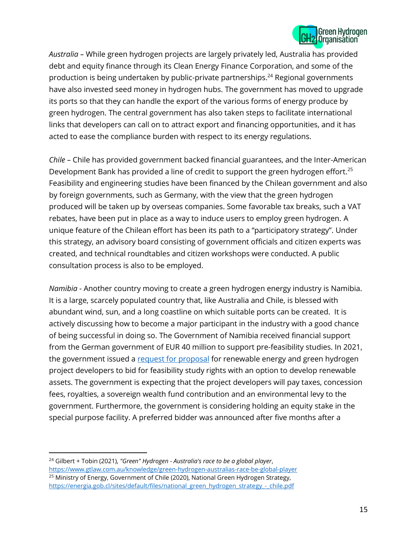

*Australia –* While green hydrogen projects are largely privately led, Australia has provided debt and equity finance through its Clean Energy Finance Corporation, and some of the production is being undertaken by public-private partnerships.<sup>24</sup> Regional governments have also invested seed money in hydrogen hubs. The government has moved to upgrade its ports so that they can handle the export of the various forms of energy produce by green hydrogen. The central government has also taken steps to facilitate international links that developers can call on to attract export and financing opportunities, and it has acted to ease the compliance burden with respect to its energy regulations.

*Chile –* Chile has provided government backed financial guarantees, and the Inter-American Development Bank has provided a line of credit to support the green hydrogen effort.<sup>25</sup> Feasibility and engineering studies have been financed by the Chilean government and also by foreign governments, such as Germany, with the view that the green hydrogen produced will be taken up by overseas companies. Some favorable tax breaks, such a VAT rebates, have been put in place as a way to induce users to employ green hydrogen. A unique feature of the Chilean effort has been its path to a "participatory strategy". Under this strategy, an advisory board consisting of government officials and citizen experts was created, and technical roundtables and citizen workshops were conducted. A public consultation process is also to be employed.

*Namibia -* Another country moving to create a green hydrogen energy industry is Namibia. It is a large, scarcely populated country that, like Australia and Chile, is blessed with abundant wind, sun, and a long coastline on which suitable ports can be created. It is actively discussing how to become a major participant in the industry with a good chance of being successful in doing so. The Government of Namibia received financial support from the German government of EUR 40 million to support pre-feasibility studies. In 2021, the government issued a [request for proposal](https://nipdb.com/green-hydrogen-rfp/) for renewable energy and green hydrogen project developers to bid for feasibility study rights with an option to develop renewable assets. The government is expecting that the project developers will pay taxes, concession fees, royalties, a sovereign wealth fund contribution and an environmental levy to the government. Furthermore, the government is considering holding an equity stake in the special purpose facility. A preferred bidder was announced after five months after a

<sup>24</sup> Gilbert + Tobin (2021), *"Green" Hydrogen - Australia's race to be a global player*, <https://www.gtlaw.com.au/knowledge/green-hydrogen-australias-race-be-global-player> <sup>25</sup> Ministry of Energy, Government of Chile (2020), National Green Hydrogen Strategy, [https://energia.gob.cl/sites/default/files/national\\_green\\_hydrogen\\_strategy\\_-\\_chile.pdf](https://energia.gob.cl/sites/default/files/national_green_hydrogen_strategy_-_chile.pdf)